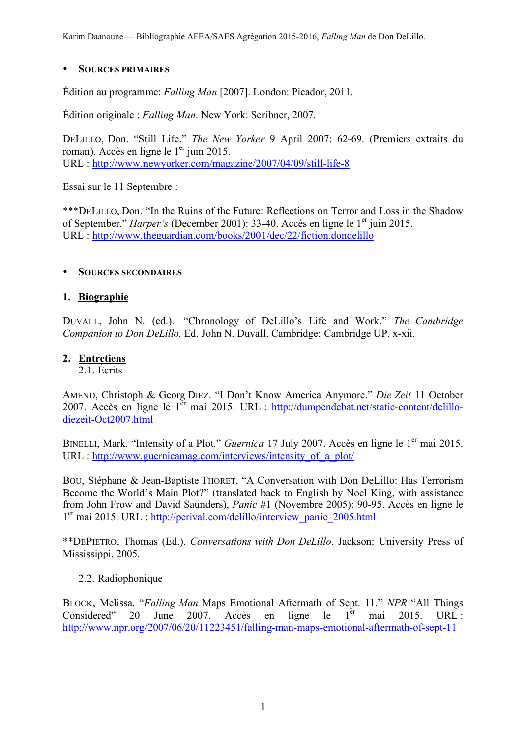Karim Daanoune — Bibliographie AFEA/SAES Agrégation 2015-2016, *Falling Man* de Don DeLillo.

#### • **SOURCES PRIMAIRES**

Édition au programme: *Falling Man* [2007]. London: Picador, 2011.

Édition originale : *Falling Man*. New York: Scribner, 2007.

DELILLO, Don. "Still Life." *The New Yorker* 9 April 2007: 62-69. (Premiers extraits du roman). Accès en ligne le  $1<sup>er</sup>$  juin 2015. URL : http://www.newyorker.com/magazine/2007/04/09/still-life-8

Essai sur le 11 Septembre :

\*\*\*DELILLO, Don. "In the Ruins of the Future: Reflections on Terror and Loss in the Shadow of September." *Harper's* (December 2001): 33-40. Accès en ligne le 1<sup>er</sup> juin 2015. URL : http://www.theguardian.com/books/2001/dec/22/fiction.dondelillo

#### • **SOURCES SECONDAIRES**

### **1. Biographie**

DUVALL, John N. (ed.). "Chronology of DeLillo's Life and Work." *The Cambridge Companion to Don DeLillo.* Ed. John N. Duvall. Cambridge: Cambridge UP. x-xii.

### **2. Entretiens**

2.1. Écrits

AMEND, Christoph & Georg DIEZ. "I Don't Know America Anymore." *Die Zeit* 11 October 2007. Accès en ligne le 1<sup>er</sup> mai 2015. URL : http://dumpendebat.net/static-content/delillodiezeit-Oct2007.html

BINELLI, Mark. "Intensity of a Plot." *Guernica* 17 July 2007. Accès en ligne le 1<sup>er</sup> mai 2015. URL : http://www.guernicamag.com/interviews/intensity of a plot/

BOU, Stéphane & Jean-Baptiste THORET. "A Conversation with Don DeLillo: Has Terrorism Become the World's Main Plot?" (translated back to English by Noel King, with assistance from John Frow and David Saunders), *Panic* #1 (Novembre 2005): 90-95. Accès en ligne le 1er mai 2015. URL : http://perival.com/delillo/interview\_panic\_2005.html

\*\*DEPIETRO, Thomas (Ed.). *Conversations with Don DeLillo*. Jackson: University Press of Mississippi, 2005.

## 2.2. Radiophonique

BLOCK, Melissa. "*Falling Man* Maps Emotional Aftermath of Sept. 11." *NPR* "All Things Considered" 20 June 2007. Accès en ligne le  $1<sup>er</sup>$  mai 2015. URL : http://www.npr.org/2007/06/20/11223451/falling-man-maps-emotional-aftermath-of-sept-11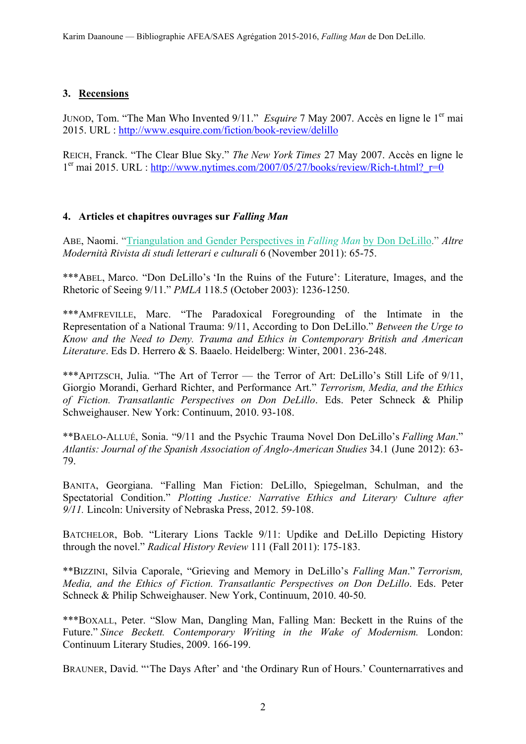# **3. Recensions**

JUNOD, Tom. "The Man Who Invented 9/11." *Esquire* 7 May 2007. Accès en ligne le 1<sup>er</sup> mai 2015. URL : http://www.esquire.com/fiction/book-review/delillo

REICH, Franck. "The Clear Blue Sky." *The New York Times* 27 May 2007. Accès en ligne le  $1<sup>er</sup>$  mai 2015. URL : http://www.nytimes.com/2007/05/27/books/review/Rich-t.html?  $r=0$ 

# **4. Articles et chapitres ouvrages sur** *Falling Man*

ABE, Naomi. "Triangulation and Gender Perspectives in *Falling Man* by Don DeLillo." *Altre Modernità Rivista di studi letterari e culturali* 6 (November 2011): 65-75.

\*\*\*ABEL, Marco. "Don DeLillo's 'In the Ruins of the Future': Literature, Images, and the Rhetoric of Seeing 9/11." *PMLA* 118.5 (October 2003): 1236-1250.

\*\*\*AMFREVILLE, Marc. "The Paradoxical Foregrounding of the Intimate in the Representation of a National Trauma: 9/11, According to Don DeLillo." *Between the Urge to Know and the Need to Deny. Trauma and Ethics in Contemporary British and American Literature*. Eds D. Herrero & S. Baaelo. Heidelberg: Winter, 2001. 236-248.

\*\*\*APITZSCH, Julia. "The Art of Terror — the Terror of Art: DeLillo's Still Life of 9/11, Giorgio Morandi, Gerhard Richter, and Performance Art." *Terrorism, Media, and the Ethics of Fiction. Transatlantic Perspectives on Don DeLillo*. Eds. Peter Schneck & Philip Schweighauser. New York: Continuum, 2010. 93-108.

\*\*BAELO-ALLUÉ, Sonia. "9/11 and the Psychic Trauma Novel Don DeLillo's *Falling Man*." *Atlantis: Journal of the Spanish Association of Anglo-American Studies* 34.1 (June 2012): 63- 79.

BANITA, Georgiana. "Falling Man Fiction: DeLillo, Spiegelman, Schulman, and the Spectatorial Condition." *Plotting Justice: Narrative Ethics and Literary Culture after 9/11.* Lincoln: University of Nebraska Press, 2012. 59-108.

BATCHELOR, Bob. "Literary Lions Tackle 9/11: Updike and DeLillo Depicting History through the novel." *Radical History Review* 111 (Fall 2011): 175-183.

\*\*BIZZINI, Silvia Caporale, "Grieving and Memory in DeLillo's *Falling Man*." *Terrorism, Media, and the Ethics of Fiction. Transatlantic Perspectives on Don DeLillo*. Eds. Peter Schneck & Philip Schweighauser. New York, Continuum, 2010. 40-50.

\*\*\*BOXALL, Peter. "Slow Man, Dangling Man, Falling Man: Beckett in the Ruins of the Future." *Since Beckett. Contemporary Writing in the Wake of Modernism.* London: Continuum Literary Studies, 2009. 166-199.

BRAUNER, David. "'The Days After' and 'the Ordinary Run of Hours.' Counternarratives and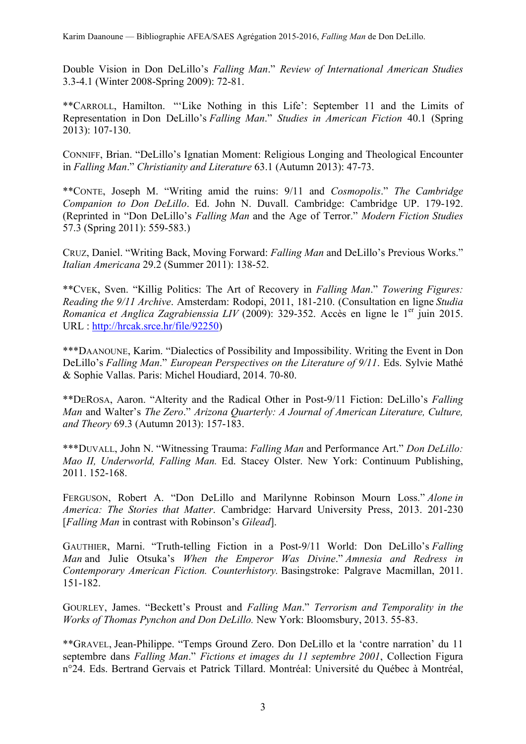Double Vision in Don DeLillo's *Falling Man*." *Review of International American Studies* 3.3-4.1 (Winter 2008-Spring 2009): 72-81.

\*\*CARROLL, Hamilton. "'Like Nothing in this Life': September 11 and the Limits of Representation in Don DeLillo's *Falling Man*." *Studies in American Fiction* 40.1 (Spring 2013): 107-130.

CONNIFF, Brian. "DeLillo's Ignatian Moment: Religious Longing and Theological Encounter in *Falling Man*." *Christianity and Literature* 63.1 (Autumn 2013): 47-73.

\*\*CONTE, Joseph M. "Writing amid the ruins: 9/11 and *Cosmopolis*." *The Cambridge Companion to Don DeLillo*. Ed. John N. Duvall. Cambridge: Cambridge UP. 179-192. (Reprinted in "Don DeLillo's *Falling Man* and the Age of Terror." *Modern Fiction Studies* 57.3 (Spring 2011): 559-583.)

CRUZ, Daniel. "Writing Back, Moving Forward: *Falling Man* and DeLillo's Previous Works." *Italian Americana* 29.2 (Summer 2011): 138-52.

\*\*CVEK, Sven. "Killig Politics: The Art of Recovery in *Falling Man*." *Towering Figures: Reading the 9/11 Archive*. Amsterdam: Rodopi, 2011, 181-210. (Consultation en ligne *Studia Romanica et Anglica Zagrabienssia LIV* (2009): 329-352. Accès en ligne le 1<sup>er</sup> juin 2015. URL : http://hrcak.srce.hr/file/92250)

\*\*\*DAANOUNE, Karim. "Dialectics of Possibility and Impossibility. Writing the Event in Don DeLillo's *Falling Man*." *European Perspectives on the Literature of 9/11*. Eds. Sylvie Mathé & Sophie Vallas. Paris: Michel Houdiard, 2014. 70-80.

\*\*DEROSA, Aaron. "Alterity and the Radical Other in Post-9/11 Fiction: DeLillo's *Falling Man* and Walter's *The Zero*." *Arizona Quarterly: A Journal of American Literature, Culture, and Theory* 69.3 (Autumn 2013): 157-183.

\*\*\*DUVALL, John N. "Witnessing Trauma: *Falling Man* and Performance Art." *Don DeLillo: Mao II, Underworld, Falling Man.* Ed. Stacey Olster. New York: Continuum Publishing, 2011. 152-168.

FERGUSON, Robert A. "Don DeLillo and Marilynne Robinson Mourn Loss." *Alone in America: The Stories that Matter*. Cambridge: Harvard University Press, 2013. 201-230 [*Falling Man* in contrast with Robinson's *Gilead*].

GAUTHIER, Marni. "Truth-telling Fiction in a Post-9/11 World: Don DeLillo's *Falling Man* and Julie Otsuka's *When the Emperor Was Divine*." *Amnesia and Redress in Contemporary American Fiction. Counterhistory.* Basingstroke: Palgrave Macmillan, 2011. 151-182.

GOURLEY, James. "Beckett's Proust and *Falling Man*." *Terrorism and Temporality in the Works of Thomas Pynchon and Don DeLillo.* New York: Bloomsbury, 2013. 55-83.

\*\*GRAVEL, Jean-Philippe. "Temps Ground Zero. Don DeLillo et la 'contre narration' du 11 septembre dans *Falling Man*." *Fictions et images du 11 septembre 2001*, Collection Figura n°24. Eds. Bertrand Gervais et Patrick Tillard. Montréal: Université du Québec à Montréal,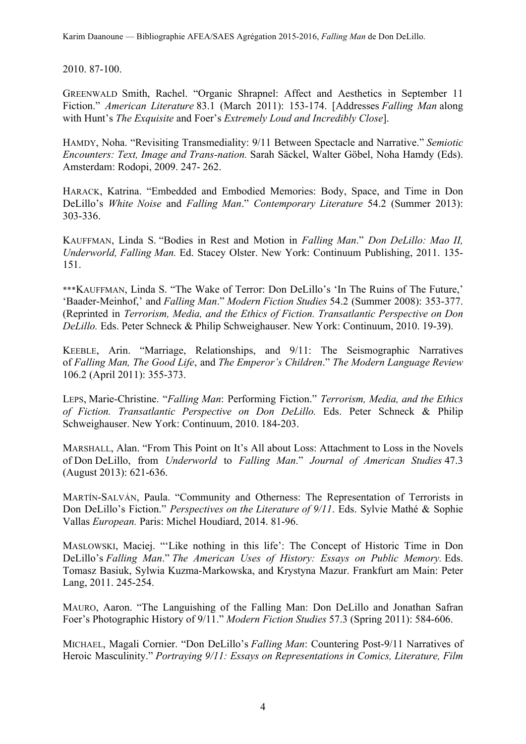2010. 87-100.

GREENWALD Smith, Rachel. "Organic Shrapnel: Affect and Aesthetics in September 11 Fiction." *American Literature* 83.1 (March 2011): 153-174. [Addresses *Falling Man* along with Hunt's *The Exquisite* and Foer's *Extremely Loud and Incredibly Close*].

HAMDY, Noha. "Revisiting Transmediality: 9/11 Between Spectacle and Narrative." *Semiotic Encounters: Text, Image and Trans-nation.* Sarah Säckel, Walter Göbel, Noha Hamdy (Eds). Amsterdam: Rodopi, 2009. 247- 262.

HARACK, Katrina. "Embedded and Embodied Memories: Body, Space, and Time in Don DeLillo's *White Noise* and *Falling Man*." *Contemporary Literature* 54.2 (Summer 2013): 303-336.

KAUFFMAN, Linda S. "Bodies in Rest and Motion in *Falling Man*." *Don DeLillo: Mao II, Underworld, Falling Man.* Ed. Stacey Olster. New York: Continuum Publishing, 2011. 135- 151.

\*\*\*KAUFFMAN, Linda S. "The Wake of Terror: Don DeLillo's 'In The Ruins of The Future,' 'Baader-Meinhof,' and *Falling Man*." *Modern Fiction Studies* 54.2 (Summer 2008): 353-377. (Reprinted in *Terrorism, Media, and the Ethics of Fiction. Transatlantic Perspective on Don DeLillo.* Eds. Peter Schneck & Philip Schweighauser. New York: Continuum, 2010. 19-39).

KEEBLE, Arin. "Marriage, Relationships, and 9/11: The Seismographic Narratives of *Falling Man, The Good Life*, and *The Emperor's Children*." *The Modern Language Review*  106.2 (April 2011): 355-373.

LEPS, Marie-Christine. "*Falling Man*: Performing Fiction." *Terrorism, Media, and the Ethics of Fiction. Transatlantic Perspective on Don DeLillo.* Eds. Peter Schneck & Philip Schweighauser. New York: Continuum, 2010. 184-203.

MARSHALL, Alan. "From This Point on It's All about Loss: Attachment to Loss in the Novels of Don DeLillo, from *Underworld* to *Falling Man*." *Journal of American Studies* 47.3 (August 2013): 621-636.

MARTÍN-SALVÁN, Paula. "Community and Otherness: The Representation of Terrorists in Don DeLillo's Fiction." *Perspectives on the Literature of 9/11*. Eds. Sylvie Mathé & Sophie Vallas *European.* Paris: Michel Houdiard, 2014. 81-96.

MASLOWSKI, Maciej. "'Like nothing in this life': The Concept of Historic Time in Don DeLillo's *Falling Man*." *The American Uses of History: Essays on Public Memory.* Eds. Tomasz Basiuk, Sylwia Kuzma-Markowska, and Krystyna Mazur. Frankfurt am Main: Peter Lang, 2011. 245-254.

MAURO, Aaron. "The Languishing of the Falling Man: Don DeLillo and Jonathan Safran Foer's Photographic History of 9/11." *Modern Fiction Studies* 57.3 (Spring 2011): 584-606.

MICHAEL, Magali Cornier. "Don DeLillo's *Falling Man*: Countering Post-9/11 Narratives of Heroic Masculinity." *Portraying 9/11: Essays on Representations in Comics, Literature, Film*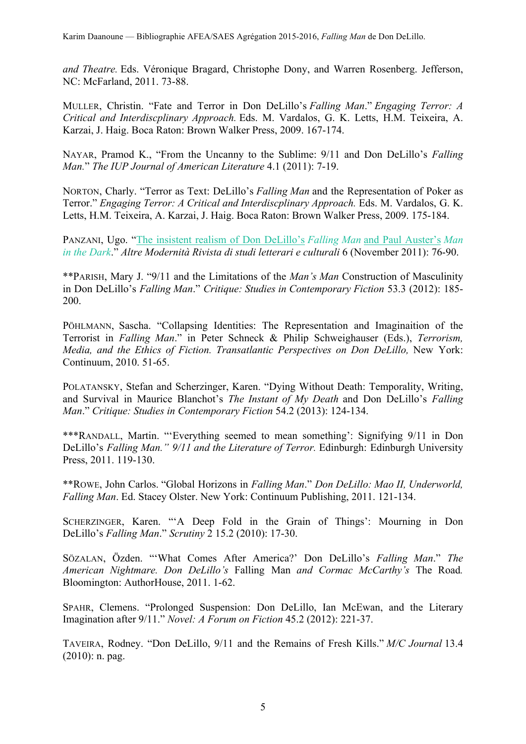*and Theatre.* Eds. Véronique Bragard, Christophe Dony, and Warren Rosenberg. Jefferson, NC: McFarland, 2011. 73-88.

MULLER, Christin. "Fate and Terror in Don DeLillo's *Falling Man*." *Engaging Terror: A Critical and Interdiscplinary Approach.* Eds. M. Vardalos, G. K. Letts, H.M. Teixeira, A. Karzai, J. Haig. Boca Raton: Brown Walker Press, 2009. 167-174.

NAYAR, Pramod K., "From the Uncanny to the Sublime: 9/11 and Don DeLillo's *Falling Man.*" *The IUP Journal of American Literature* 4.1 (2011): 7-19.

NORTON, Charly. "Terror as Text: DeLillo's *Falling Man* and the Representation of Poker as Terror." *Engaging Terror: A Critical and Interdiscplinary Approach.* Eds. M. Vardalos, G. K. Letts, H.M. Teixeira, A. Karzai, J. Haig. Boca Raton: Brown Walker Press, 2009. 175-184.

PANZANI, Ugo. "The insistent realism of Don DeLillo's *Falling Man* and Paul Auster's *Man in the Dark*." *Altre Modernità Rivista di studi letterari e culturali* 6 (November 2011): 76-90.

\*\*PARISH, Mary J. "9/11 and the Limitations of the *Man's Man* Construction of Masculinity in Don DeLillo's *Falling Man*." *Critique: Studies in Contemporary Fiction* 53.3 (2012): 185- 200.

PÖHLMANN, Sascha. "Collapsing Identities: The Representation and Imaginaition of the Terrorist in *Falling Man*." in Peter Schneck & Philip Schweighauser (Eds.), *Terrorism, Media, and the Ethics of Fiction. Transatlantic Perspectives on Don DeLillo, New York:* Continuum, 2010. 51-65.

POLATANSKY, Stefan and Scherzinger, Karen. "Dying Without Death: Temporality, Writing, and Survival in Maurice Blanchot's *The Instant of My Death* and Don DeLillo's *Falling Man*." *Critique: Studies in Contemporary Fiction* 54.2 (2013): 124-134.

\*\*\*RANDALL, Martin. "'Everything seemed to mean something': Signifying 9/11 in Don DeLillo's *Falling Man." 9/11 and the Literature of Terror.* Edinburgh: Edinburgh University Press, 2011. 119-130.

\*\*ROWE, John Carlos. "Global Horizons in *Falling Man*." *Don DeLillo: Mao II, Underworld, Falling Man*. Ed. Stacey Olster. New York: Continuum Publishing, 2011. 121-134.

SCHERZINGER, Karen. "'A Deep Fold in the Grain of Things': Mourning in Don DeLillo's *Falling Man*." *Scrutiny* 2 15.2 (2010): 17-30.

SÖZALAN, Özden. "'What Comes After America?' Don DeLillo's *Falling Man*." *The American Nightmare. Don DeLillo's* Falling Man *and Cormac McCarthy's* The Road*.* Bloomington: AuthorHouse, 2011. 1-62.

SPAHR, Clemens. "Prolonged Suspension: Don DeLillo, Ian McEwan, and the Literary Imagination after 9/11." *Novel: A Forum on Fiction* 45.2 (2012): 221-37.

TAVEIRA, Rodney. "Don DeLillo, 9/11 and the Remains of Fresh Kills." *M/C Journal* 13.4 (2010): n. pag.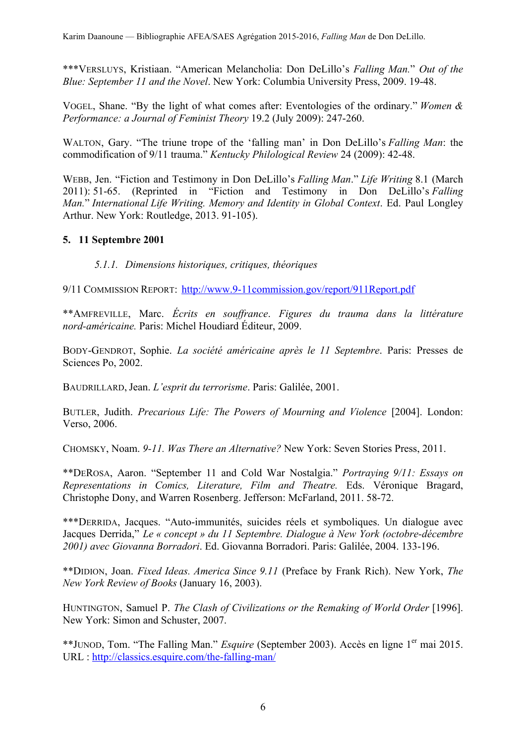\*\*\*VERSLUYS, Kristiaan. "American Melancholia: Don DeLillo's *Falling Man.*" *Out of the Blue: September 11 and the Novel*. New York: Columbia University Press, 2009. 19-48.

VOGEL, Shane. "By the light of what comes after: Eventologies of the ordinary." *Women & Performance: a Journal of Feminist Theory* 19.2 (July 2009): 247-260.

WALTON, Gary. "The triune trope of the 'falling man' in Don DeLillo's *Falling Man*: the commodification of 9/11 trauma." *Kentucky Philological Review* 24 (2009): 42-48.

WEBB, Jen. "Fiction and Testimony in Don DeLillo's *Falling Man*." *Life Writing* 8.1 (March 2011): 51-65. (Reprinted in "Fiction and Testimony in Don DeLillo's *Falling Man.*" *International Life Writing. Memory and Identity in Global Context*. Ed. Paul Longley Arthur. New York: Routledge, 2013. 91-105).

## **5. 11 Septembre 2001**

*5.1.1. Dimensions historiques, critiques, théoriques*

9/11 COMMISSION REPORT: http://www.9-11commission.gov/report/911Report.pdf

\*\*AMFREVILLE, Marc. *Écrits en souffrance*. *Figures du trauma dans la littérature nord-américaine.* Paris: Michel Houdiard Éditeur, 2009.

BODY-GENDROT, Sophie. *La société américaine après le 11 Septembre*. Paris: Presses de Sciences Po, 2002.

BAUDRILLARD, Jean. *L'esprit du terrorisme*. Paris: Galilée, 2001.

BUTLER, Judith. *Precarious Life: The Powers of Mourning and Violence* [2004]. London: Verso, 2006.

CHOMSKY, Noam. *9-11. Was There an Alternative?* New York: Seven Stories Press, 2011.

\*\*DEROSA, Aaron. "September 11 and Cold War Nostalgia." *Portraying 9/11: Essays on Representations in Comics, Literature, Film and Theatre.* Eds. Véronique Bragard, Christophe Dony, and Warren Rosenberg. Jefferson: McFarland, 2011. 58-72.

\*\*\*DERRIDA, Jacques. "Auto-immunités, suicides réels et symboliques. Un dialogue avec Jacques Derrida," *Le « concept » du 11 Septembre. Dialogue à New York (octobre-décembre 2001) avec Giovanna Borradori*. Ed. Giovanna Borradori. Paris: Galilée, 2004. 133-196.

\*\*DIDION, Joan. *Fixed Ideas. America Since 9.11* (Preface by Frank Rich). New York, *The New York Review of Books* (January 16, 2003).

HUNTINGTON, Samuel P. *The Clash of Civilizations or the Remaking of World Order* [1996]. New York: Simon and Schuster, 2007.

\*\*JUNOD, Tom. "The Falling Man." *Esquire* (September 2003). Accès en ligne 1<sup>er</sup> mai 2015. URL : http://classics.esquire.com/the-falling-man/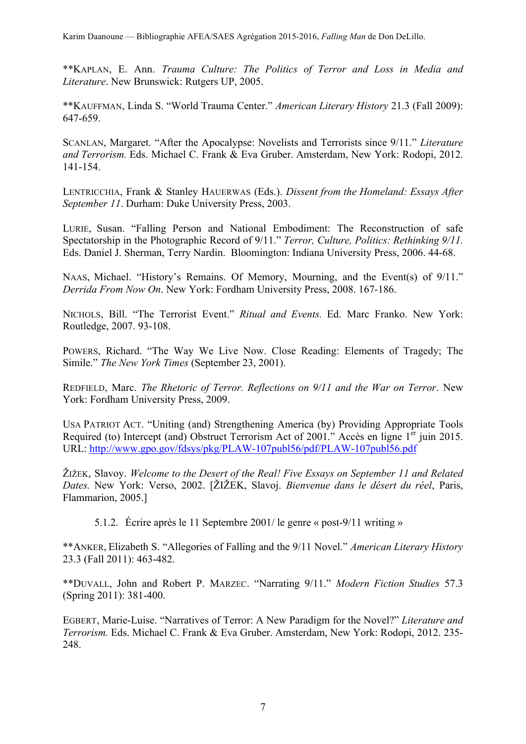\*\*KAPLAN, E. Ann. *Trauma Culture: The Politics of Terror and Loss in Media and Literature*. New Brunswick: Rutgers UP, 2005.

\*\*KAUFFMAN, Linda S. "World Trauma Center." *American Literary History* 21.3 (Fall 2009): 647-659.

SCANLAN, Margaret. "After the Apocalypse: Novelists and Terrorists since 9/11." *Literature and Terrorism.* Eds. Michael C. Frank & Eva Gruber. Amsterdam, New York: Rodopi, 2012. 141-154.

LENTRICCHIA, Frank & Stanley HAUERWAS (Eds.). *Dissent from the Homeland: Essays After September 11*. Durham: Duke University Press, 2003.

LURIE, Susan. "Falling Person and National Embodiment: The Reconstruction of safe Spectatorship in the Photographic Record of 9/11." *Terror, Culture, Politics: Rethinking 9/11.*  Eds. Daniel J. Sherman, Terry Nardin.Bloomington: Indiana University Press, 2006. 44-68.

NAAS, Michael. "History's Remains. Of Memory, Mourning, and the Event(s) of 9/11." *Derrida From Now On*. New York: Fordham University Press, 2008. 167-186.

NICHOLS, Bill. "The Terrorist Event." *Ritual and Events.* Ed. Marc Franko. New York: Routledge, 2007. 93-108.

POWERS, Richard. "The Way We Live Now. Close Reading: Elements of Tragedy; The Simile." *The New York Times* (September 23, 2001).

REDFIELD, Marc. *The Rhetoric of Terror. Reflections on 9/11 and the War on Terror*. New York: Fordham University Press, 2009.

USA PATRIOT ACT. "Uniting (and) Strengthening America (by) Providing Appropriate Tools Required (to) Intercept (and) Obstruct Terrorism Act of 2001." Accès en ligne 1<sup>er</sup> juin 2015. URL: http://www.gpo.gov/fdsys/pkg/PLAW-107publ56/pdf/PLAW-107publ56.pdf

ŽIŽEK, Slavoy. *Welcome to the Desert of the Real! Five Essays on September 11 and Related Dates.* New York: Verso, 2002. [ŽIŽEK, Slavoj. *Bienvenue dans le désert du réel*, Paris, Flammarion, 2005.]

5.1.2. Écrire après le 11 Septembre 2001/ le genre « post-9/11 writing »

\*\*ANKER, Elizabeth S. "Allegories of Falling and the 9/11 Novel." *American Literary History* 23.3 (Fall 2011): 463-482.

\*\*DUVALL, John and Robert P. MARZEC. "Narrating 9/11." *Modern Fiction Studies* 57.3 (Spring 2011): 381-400.

EGBERT, Marie-Luise. "Narratives of Terror: A New Paradigm for the Novel?" *Literature and Terrorism.* Eds. Michael C. Frank & Eva Gruber. Amsterdam, New York: Rodopi, 2012. 235- 248.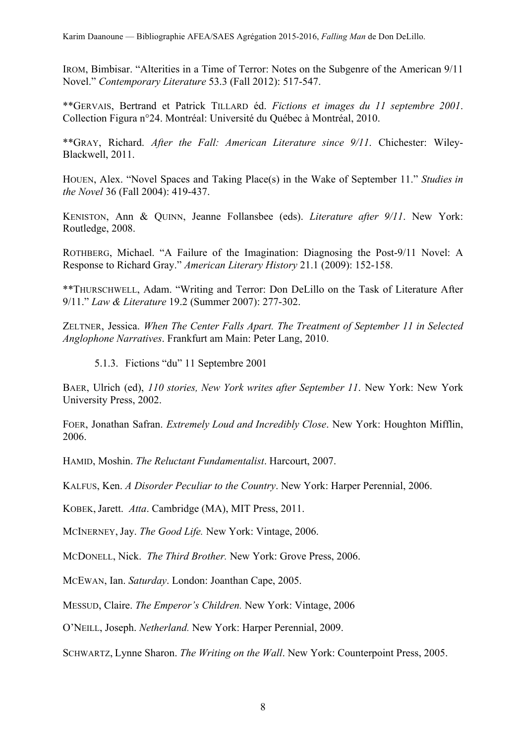IROM, Bimbisar. "Alterities in a Time of Terror: Notes on the Subgenre of the American 9/11 Novel." *Contemporary Literature* 53.3 (Fall 2012): 517-547.

\*\*GERVAIS, Bertrand et Patrick TILLARD éd. *Fictions et images du 11 septembre 2001*. Collection Figura n°24. Montréal: Université du Québec à Montréal, 2010.

\*\*GRAY, Richard. *After the Fall: American Literature since 9/11*. Chichester: Wiley-Blackwell, 2011.

HOUEN, Alex. "Novel Spaces and Taking Place(s) in the Wake of September 11." *Studies in the Novel* 36 (Fall 2004): 419-437.

KENISTON, Ann & QUINN, Jeanne Follansbee (eds). *Literature after 9/11*. New York: Routledge, 2008.

ROTHBERG, Michael. "A Failure of the Imagination: Diagnosing the Post-9/11 Novel: A Response to Richard Gray." *American Literary History* 21.1 (2009): 152-158.

\*\*THURSCHWELL, Adam. "Writing and Terror: Don DeLillo on the Task of Literature After 9/11." *Law & Literature* 19.2 (Summer 2007): 277-302.

ZELTNER, Jessica. *When The Center Falls Apart. The Treatment of September 11 in Selected Anglophone Narratives*. Frankfurt am Main: Peter Lang, 2010.

5.1.3. Fictions "du" 11 Septembre 2001

BAER, Ulrich (ed), *110 stories, New York writes after September 11*. New York: New York University Press, 2002.

FOER, Jonathan Safran. *Extremely Loud and Incredibly Close*. New York: Houghton Mifflin, 2006.

HAMID, Moshin. *The Reluctant Fundamentalist*. Harcourt, 2007.

KALFUS, Ken. *A Disorder Peculiar to the Country*. New York: Harper Perennial, 2006.

KOBEK, Jarett. *Atta*. Cambridge (MA), MIT Press, 2011.

MCINERNEY, Jay. *The Good Life.* New York: Vintage, 2006.

MCDONELL, Nick. *The Third Brother.* New York: Grove Press, 2006.

MCEWAN, Ian. *Saturday*. London: Joanthan Cape, 2005.

MESSUD, Claire. *The Emperor's Children.* New York: Vintage, 2006

O'NEILL, Joseph. *Netherland.* New York: Harper Perennial, 2009.

SCHWARTZ, Lynne Sharon. *The Writing on the Wall*. New York: Counterpoint Press, 2005.